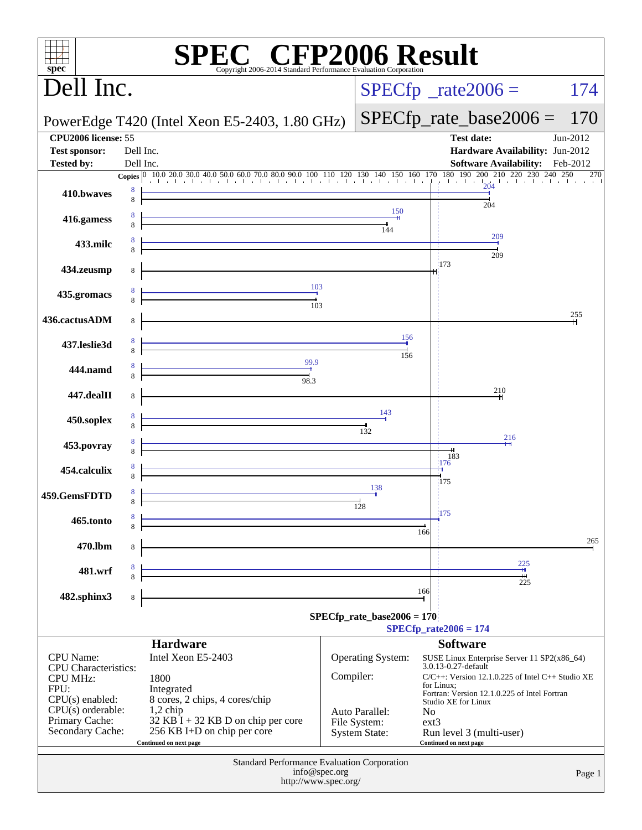| $\mathbf{Spec}^*$                              |           | <b>SPEC<sup>®</sup></b> CFP2006 Result<br>Copyright 2006-2014 Standard Performance Evaluation Corporation                                                                                                                              |           |                                      |                                   |                                                      |          |
|------------------------------------------------|-----------|----------------------------------------------------------------------------------------------------------------------------------------------------------------------------------------------------------------------------------------|-----------|--------------------------------------|-----------------------------------|------------------------------------------------------|----------|
| Dell Inc.                                      |           |                                                                                                                                                                                                                                        |           | $SPECfp^*$ _rate2006 =               |                                   |                                                      | 174      |
|                                                |           | PowerEdge T420 (Intel Xeon E5-2403, 1.80 GHz)                                                                                                                                                                                          |           |                                      |                                   | $SPECfp\_rate\_base2006 =$                           | 170      |
| CPU2006 license: 55<br><b>Test sponsor:</b>    | Dell Inc. |                                                                                                                                                                                                                                        |           |                                      |                                   | <b>Test date:</b><br>Hardware Availability: Jun-2012 | Jun-2012 |
| <b>Tested by:</b>                              | Dell Inc. |                                                                                                                                                                                                                                        |           |                                      |                                   | Software Availability: Feb-2012                      |          |
|                                                |           |                                                                                                                                                                                                                                        |           |                                      |                                   |                                                      | 270      |
| 410.bwaves                                     |           |                                                                                                                                                                                                                                        |           |                                      |                                   | 204                                                  |          |
| 416.gamess                                     |           |                                                                                                                                                                                                                                        |           | 150                                  |                                   |                                                      |          |
| 433.milc                                       |           |                                                                                                                                                                                                                                        |           | 144                                  |                                   | 209                                                  |          |
| 434.zeusmp                                     | 8         |                                                                                                                                                                                                                                        |           |                                      | 173                               | 209                                                  |          |
|                                                |           |                                                                                                                                                                                                                                        |           |                                      |                                   |                                                      |          |
| 435.gromacs                                    |           | $\begin{array}{c c c c} & & 103 \\ \hline & & & 1 \end{array}$<br>$\frac{1}{103}$                                                                                                                                                      |           |                                      |                                   |                                                      |          |
| 436.cactusADM                                  | 8         |                                                                                                                                                                                                                                        |           |                                      |                                   |                                                      | 255      |
| 437.leslie3d                                   |           |                                                                                                                                                                                                                                        |           | 156                                  |                                   |                                                      |          |
| 444.namd                                       |           | 99.9<br>$\overline{\phantom{0}}$                                                                                                                                                                                                       |           | 156                                  |                                   |                                                      |          |
|                                                |           | 98.3                                                                                                                                                                                                                                   |           |                                      |                                   | 210                                                  |          |
| 447.dealII                                     | 8         |                                                                                                                                                                                                                                        |           |                                      |                                   |                                                      |          |
| 450.soplex                                     |           |                                                                                                                                                                                                                                        |           | 143<br>$\frac{1}{132}$               |                                   |                                                      |          |
| 453.povray                                     |           |                                                                                                                                                                                                                                        |           |                                      |                                   | 216                                                  |          |
| 454.calculix                                   |           |                                                                                                                                                                                                                                        |           |                                      | 183<br>176                        |                                                      |          |
|                                                |           |                                                                                                                                                                                                                                        |           | 138                                  | 175                               |                                                      |          |
| 459.GemsFDTD                                   | 8         |                                                                                                                                                                                                                                        |           | 128                                  |                                   |                                                      |          |
| 465.tonto                                      | 8         |                                                                                                                                                                                                                                        |           |                                      | 175<br>166                        |                                                      |          |
| 470.lbm                                        | 8         | <u> 1989 - Johann Stein, mars an de Fran</u>                                                                                                                                                                                           |           |                                      |                                   |                                                      | 265      |
| 481.wrf                                        |           | <u> 1989 - Johann Stoff, deutscher Stoffen und der Stoffen und der Stoffen und der Stoffen und der Stoffen und de</u><br>1980 - Johann Stoffen und der Stoffen und der Stoffen und der Stoffen und der Stoffen und der Stoffen und der |           |                                      |                                   | 225                                                  |          |
|                                                |           |                                                                                                                                                                                                                                        |           |                                      | 166                               | 225                                                  |          |
| 482.sphinx3                                    | 8         |                                                                                                                                                                                                                                        |           |                                      |                                   |                                                      |          |
|                                                |           |                                                                                                                                                                                                                                        |           | SPECfp rate base2006 = $170$         | $SPECfp_{rate}2006 = 174$         |                                                      |          |
|                                                |           | <b>Hardware</b>                                                                                                                                                                                                                        |           |                                      | <b>Software</b>                   |                                                      |          |
| <b>CPU</b> Name:                               |           | Intel Xeon E5-2403                                                                                                                                                                                                                     |           | <b>Operating System:</b>             | 3.0.13-0.27-default               | SUSE Linux Enterprise Server 11 SP2(x86_64)          |          |
| <b>CPU</b> Characteristics:<br><b>CPU MHz:</b> |           | 1800                                                                                                                                                                                                                                   | Compiler: |                                      |                                   | C/C++: Version 12.1.0.225 of Intel C++ Studio XE     |          |
| FPU:<br>$CPU(s)$ enabled:                      |           | Integrated<br>8 cores, 2 chips, 4 cores/chip                                                                                                                                                                                           |           |                                      | for Linux;<br>Studio XE for Linux | Fortran: Version 12.1.0.225 of Intel Fortran         |          |
| $CPU(s)$ orderable:                            |           | $1,2$ chip                                                                                                                                                                                                                             |           | Auto Parallel:                       | N <sub>0</sub>                    |                                                      |          |
| Primary Cache:<br>Secondary Cache:             |           | $32$ KB I + 32 KB D on chip per core<br>256 KB I+D on chip per core                                                                                                                                                                    |           | File System:<br><b>System State:</b> | $ext{3}$                          | Run level 3 (multi-user)                             |          |
|                                                |           | Continued on next page                                                                                                                                                                                                                 |           |                                      | <b>Continued on next page</b>     |                                                      |          |
|                                                |           | Standard Performance Evaluation Corporation                                                                                                                                                                                            |           |                                      |                                   |                                                      |          |
|                                                |           | info@spec.org<br>http://www.spec.org/                                                                                                                                                                                                  |           |                                      |                                   |                                                      | Page 1   |
|                                                |           |                                                                                                                                                                                                                                        |           |                                      |                                   |                                                      |          |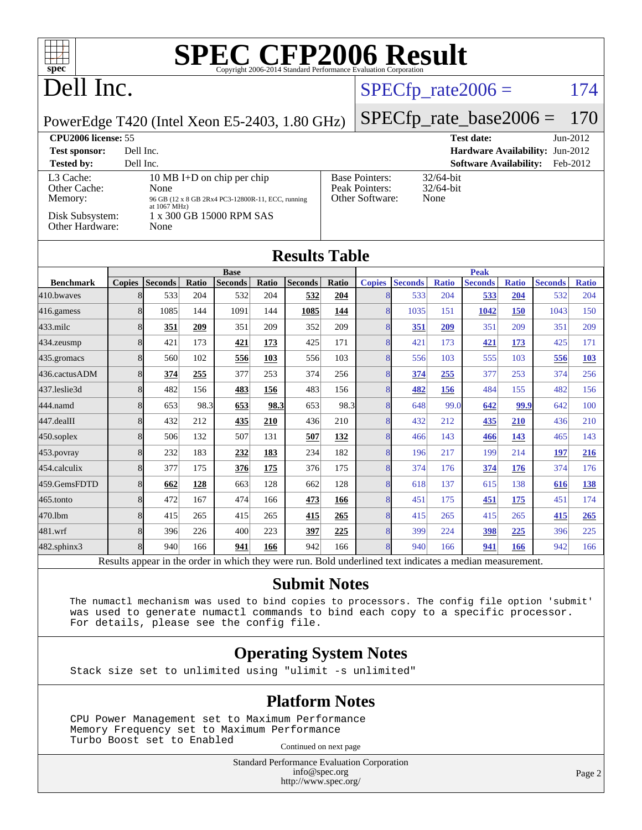# Dell Inc.

#### $SPECTp_rate2006 = 174$

PowerEdge T420 (Intel Xeon E5-2403, 1.80 GHz)

### [SPECfp\\_rate\\_base2006 =](http://www.spec.org/auto/cpu2006/Docs/result-fields.html#SPECfpratebase2006) 170

| <b>CPU2006 license: 55</b>                                                 |                                                                                                                                                        |                                                            | <b>Test date:</b><br>$Jun-2012$           |
|----------------------------------------------------------------------------|--------------------------------------------------------------------------------------------------------------------------------------------------------|------------------------------------------------------------|-------------------------------------------|
| <b>Test sponsor:</b>                                                       | Dell Inc.                                                                                                                                              |                                                            | <b>Hardware Availability: Jun-2012</b>    |
| <b>Tested by:</b>                                                          | Dell Inc.                                                                                                                                              |                                                            | <b>Software Availability:</b><br>Feb-2012 |
| L3 Cache:<br>Other Cache:<br>Memory:<br>Disk Subsystem:<br>Other Hardware: | 10 MB I+D on chip per chip<br>None<br>96 GB (12 x 8 GB 2Rx4 PC3-12800R-11, ECC, running<br>at $1067 \text{ MHz}$ )<br>1 x 300 GB 15000 RPM SAS<br>None | <b>Base Pointers:</b><br>Peak Pointers:<br>Other Software: | $32/64$ -bit<br>$32/64$ -bit<br>None      |

#### **[Results Table](http://www.spec.org/auto/cpu2006/Docs/result-fields.html#ResultsTable)**

|                   |               |                |       | <b>Base</b>    |       |                |            | <b>Peak</b>   |                |              |                |              |                |              |
|-------------------|---------------|----------------|-------|----------------|-------|----------------|------------|---------------|----------------|--------------|----------------|--------------|----------------|--------------|
| <b>Benchmark</b>  | <b>Copies</b> | <b>Seconds</b> | Ratio | <b>Seconds</b> | Ratio | <b>Seconds</b> | Ratio      | <b>Copies</b> | <b>Seconds</b> | <b>Ratio</b> | <b>Seconds</b> | <b>Ratio</b> | <b>Seconds</b> | <b>Ratio</b> |
| 410.bwayes        | 8             | 533            | 204   | 532            | 204   | 532            | 204        |               | 533            | 204          | 533            | 204          | 532            | 204          |
| 416.gamess        | 8             | 1085           | 144   | 1091           | 144   | 1085           | 144        | 8             | 1035           | 151          | 1042           | 150          | 1043           | 150          |
| $433$ .milc       | 8             | 351            | 209   | 351            | 209   | 352            | 209        | 8             | 351            | 209          | 351            | 209          | 351            | 209          |
| $434$ . zeusmp    | 8             | 421            | 173   | 421            | 173   | 425            | 171        | 8             | 421            | 173          | 421            | <u>173</u>   | 425            | 171          |
| 435.gromacs       | 8             | 560            | 102   | 556            | 103   | 556            | 103        | 8             | 556            | 103          | 555            | 103          | 556            | <b>103</b>   |
| 436.cactusADM     | 8             | 374            | 255   | 377            | 253   | 374            | 256        | 8             | <u>374</u>     | 255          | 377            | 253          | 374            | 256          |
| 437.leslie3d      | 8             | 482            | 156   | 483            | 156   | 483            | 156        | 8             | 482            | 156          | 484            | 155          | 482            | 156          |
| 444.namd          | 8             | 653            | 98.3  | 653            | 98.3  | 653            | 98.3       | 8             | 648            | 99.0         | 642            | 99.9         | 642            | 100          |
| $447$ .dealII     | 8             | 432            | 212   | 435            | 210   | 436            | 210        | 8             | 432            | 212          | 435            | 210          | 436            | 210          |
| $450$ .soplex     | 8             | 506            | 132   | 507            | 131   | 507            | <u>132</u> | 8             | 466            | 143          | 466            | 143          | 465            | 143          |
| $453$ .povray     | 8             | 232            | 183   | 232            | 183   | 234            | 182        | 8             | 196            | 217          | 199            | 214          | 197            | 216          |
| 454.calculix      | 8             | 377            | 175   | 376            | 175   | 376            | 175        | 8             | 374            | 176          | 374            | 176          | 374            | 176          |
| 459.GemsFDTD      | 8             | 662            | 128   | 663            | 128   | 662            | 128        | 8             | 618            | 137          | 615            | 138          | 616            | 138          |
| $465$ .tonto      | 8             | 472            | 167   | 474            | 166   | 473            | 166        | 8             | 451            | 175          | <b>451</b>     | <u>175</u>   | 451            | 174          |
| 470.1bm           | 8             | 415            | 265   | 415            | 265   | 415            | 265        | 8             | 415            | 265          | 415            | 265          | 415            | 265          |
| 481.wrf           | 8             | 396            | 226   | 400            | 223   | <u>397</u>     | 225        | 8             | 399            | 224          | 398            | 225          | 396            | 225          |
| $482$ .sphinx $3$ | 8             | 940            | 166   | 941            | 166   | 942            | 166        | 8             | 940            | 166          | 941            | 166          | 942            | 166          |

Results appear in the [order in which they were run.](http://www.spec.org/auto/cpu2006/Docs/result-fields.html#RunOrder) Bold underlined text [indicates a median measurement.](http://www.spec.org/auto/cpu2006/Docs/result-fields.html#Median)

#### **[Submit Notes](http://www.spec.org/auto/cpu2006/Docs/result-fields.html#SubmitNotes)**

 The numactl mechanism was used to bind copies to processors. The config file option 'submit' was used to generate numactl commands to bind each copy to a specific processor. For details, please see the config file.

#### **[Operating System Notes](http://www.spec.org/auto/cpu2006/Docs/result-fields.html#OperatingSystemNotes)**

Stack size set to unlimited using "ulimit -s unlimited"

#### **[Platform Notes](http://www.spec.org/auto/cpu2006/Docs/result-fields.html#PlatformNotes)**

 CPU Power Management set to Maximum Performance Memory Frequency set to Maximum Performance Turbo Boost set to Enabled Continued on next page

> Standard Performance Evaluation Corporation [info@spec.org](mailto:info@spec.org) <http://www.spec.org/>

Page 2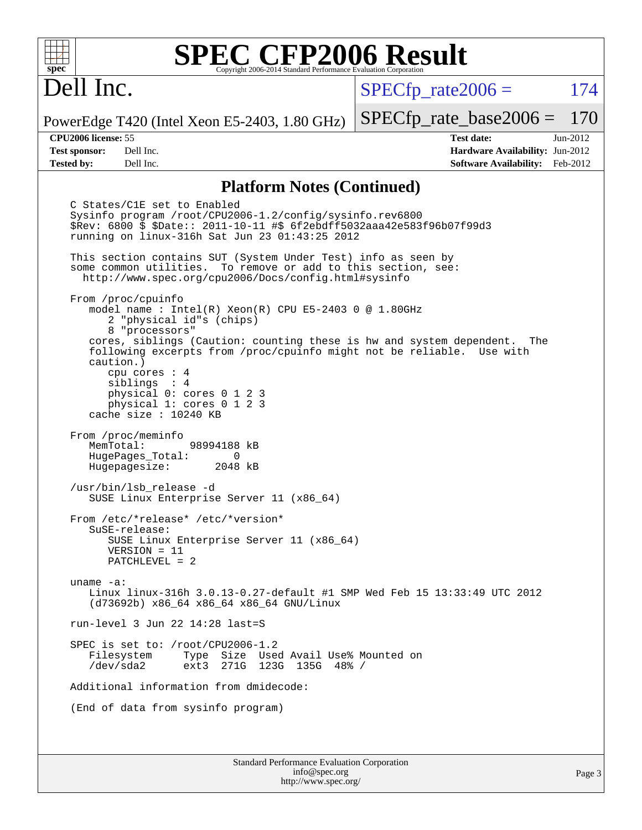# Dell Inc.

 $SPECTp\_rate2006 = 174$ 

PowerEdge T420 (Intel Xeon E5-2403, 1.80 GHz)

**[Test sponsor:](http://www.spec.org/auto/cpu2006/Docs/result-fields.html#Testsponsor)** Dell Inc. **[Hardware Availability:](http://www.spec.org/auto/cpu2006/Docs/result-fields.html#HardwareAvailability)** Jun-2012 **[Tested by:](http://www.spec.org/auto/cpu2006/Docs/result-fields.html#Testedby)** Dell Inc. **[Software Availability:](http://www.spec.org/auto/cpu2006/Docs/result-fields.html#SoftwareAvailability)** Feb-2012

[SPECfp\\_rate\\_base2006 =](http://www.spec.org/auto/cpu2006/Docs/result-fields.html#SPECfpratebase2006) 170 **[CPU2006 license:](http://www.spec.org/auto/cpu2006/Docs/result-fields.html#CPU2006license)** 55 **[Test date:](http://www.spec.org/auto/cpu2006/Docs/result-fields.html#Testdate)** Jun-2012

#### **[Platform Notes \(Continued\)](http://www.spec.org/auto/cpu2006/Docs/result-fields.html#PlatformNotes)**

 C States/C1E set to Enabled Sysinfo program /root/CPU2006-1.2/config/sysinfo.rev6800 \$Rev: 6800 \$ \$Date:: 2011-10-11 #\$ 6f2ebdff5032aaa42e583f96b07f99d3 running on linux-316h Sat Jun 23 01:43:25 2012 This section contains SUT (System Under Test) info as seen by some common utilities. To remove or add to this section, see: <http://www.spec.org/cpu2006/Docs/config.html#sysinfo> From /proc/cpuinfo model name : Intel(R) Xeon(R) CPU E5-2403 0 @ 1.80GHz 2 "physical id"s (chips) 8 "processors" cores, siblings (Caution: counting these is hw and system dependent. The following excerpts from /proc/cpuinfo might not be reliable. Use with caution.) cpu cores : 4 siblings : 4 physical 0: cores 0 1 2 3 physical 1: cores 0 1 2 3 cache size : 10240 KB From /proc/meminfo MemTotal: 98994188 kB HugePages\_Total: 0<br>Hugepagesize: 2048 kB Hugepagesize: /usr/bin/lsb\_release -d SUSE Linux Enterprise Server 11 (x86\_64) From /etc/\*release\* /etc/\*version\* SuSE-release: SUSE Linux Enterprise Server 11 (x86\_64) VERSION = 11 PATCHLEVEL = 2 uname -a: Linux linux-316h 3.0.13-0.27-default #1 SMP Wed Feb 15 13:33:49 UTC 2012 (d73692b) x86\_64 x86\_64 x86\_64 GNU/Linux run-level 3 Jun 22 14:28 last=S SPEC is set to: /root/CPU2006-1.2<br>Filesystem Type Size Use Type Size Used Avail Use% Mounted on /dev/sda2 ext3 271G 123G 135G 48% / Additional information from dmidecode: (End of data from sysinfo program)

Standard Performance Evaluation Corporation [info@spec.org](mailto:info@spec.org) <http://www.spec.org/>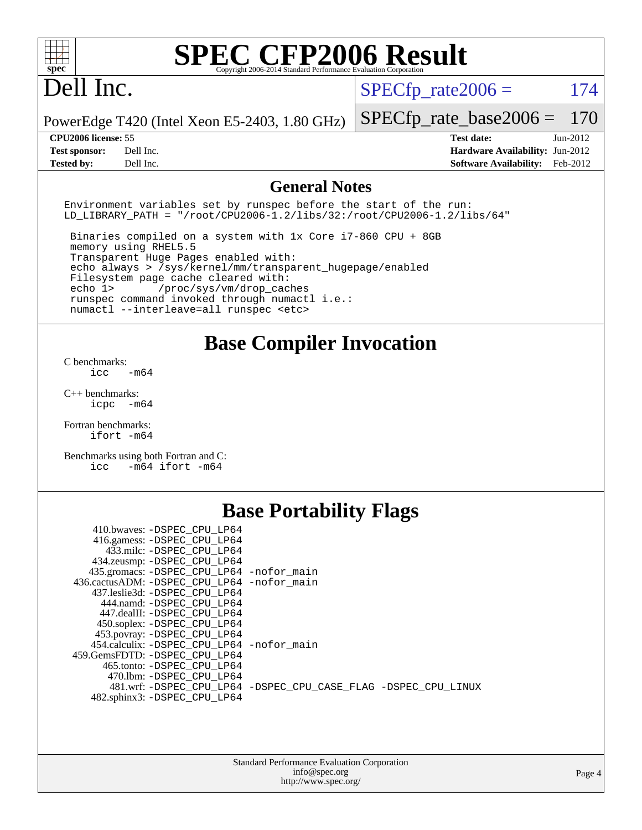# Dell Inc.

 $SPECTp_rate2006 = 174$ 

PowerEdge T420 (Intel Xeon E5-2403, 1.80 GHz)

**[Tested by:](http://www.spec.org/auto/cpu2006/Docs/result-fields.html#Testedby)** Dell Inc. **[Software Availability:](http://www.spec.org/auto/cpu2006/Docs/result-fields.html#SoftwareAvailability)** Feb-2012

[SPECfp\\_rate\\_base2006 =](http://www.spec.org/auto/cpu2006/Docs/result-fields.html#SPECfpratebase2006) 170 **[CPU2006 license:](http://www.spec.org/auto/cpu2006/Docs/result-fields.html#CPU2006license)** 55 **[Test date:](http://www.spec.org/auto/cpu2006/Docs/result-fields.html#Testdate)** Jun-2012 **[Test sponsor:](http://www.spec.org/auto/cpu2006/Docs/result-fields.html#Testsponsor)** Dell Inc. **[Hardware Availability:](http://www.spec.org/auto/cpu2006/Docs/result-fields.html#HardwareAvailability)** Jun-2012

#### **[General Notes](http://www.spec.org/auto/cpu2006/Docs/result-fields.html#GeneralNotes)**

Environment variables set by runspec before the start of the run: LD LIBRARY PATH = "/root/CPU2006-1.2/libs/32:/root/CPU2006-1.2/libs/64"

 Binaries compiled on a system with 1x Core i7-860 CPU + 8GB memory using RHEL5.5 Transparent Huge Pages enabled with: echo always > /sys/kernel/mm/transparent\_hugepage/enabled Filesystem page cache cleared with: echo 1> /proc/sys/vm/drop\_caches runspec command invoked through numactl i.e.: numactl --interleave=all runspec <etc>

#### **[Base Compiler Invocation](http://www.spec.org/auto/cpu2006/Docs/result-fields.html#BaseCompilerInvocation)**

[C benchmarks](http://www.spec.org/auto/cpu2006/Docs/result-fields.html#Cbenchmarks):  $\text{icc}$   $-\text{m64}$ 

[C++ benchmarks:](http://www.spec.org/auto/cpu2006/Docs/result-fields.html#CXXbenchmarks) [icpc -m64](http://www.spec.org/cpu2006/results/res2012q3/cpu2006-20120703-23403.flags.html#user_CXXbase_intel_icpc_64bit_bedb90c1146cab66620883ef4f41a67e)

[Fortran benchmarks](http://www.spec.org/auto/cpu2006/Docs/result-fields.html#Fortranbenchmarks): [ifort -m64](http://www.spec.org/cpu2006/results/res2012q3/cpu2006-20120703-23403.flags.html#user_FCbase_intel_ifort_64bit_ee9d0fb25645d0210d97eb0527dcc06e)

[Benchmarks using both Fortran and C](http://www.spec.org/auto/cpu2006/Docs/result-fields.html#BenchmarksusingbothFortranandC): [icc -m64](http://www.spec.org/cpu2006/results/res2012q3/cpu2006-20120703-23403.flags.html#user_CC_FCbase_intel_icc_64bit_0b7121f5ab7cfabee23d88897260401c) [ifort -m64](http://www.spec.org/cpu2006/results/res2012q3/cpu2006-20120703-23403.flags.html#user_CC_FCbase_intel_ifort_64bit_ee9d0fb25645d0210d97eb0527dcc06e)

### **[Base Portability Flags](http://www.spec.org/auto/cpu2006/Docs/result-fields.html#BasePortabilityFlags)**

| 410.bwaves: -DSPEC CPU LP64                |                                                                |
|--------------------------------------------|----------------------------------------------------------------|
| 416.gamess: -DSPEC_CPU_LP64                |                                                                |
| 433.milc: -DSPEC CPU LP64                  |                                                                |
| 434.zeusmp: - DSPEC_CPU_LP64               |                                                                |
| 435.gromacs: -DSPEC_CPU_LP64 -nofor_main   |                                                                |
| 436.cactusADM: -DSPEC CPU LP64 -nofor main |                                                                |
| 437.leslie3d: -DSPEC CPU LP64              |                                                                |
| 444.namd: -DSPEC CPU LP64                  |                                                                |
| 447.dealII: -DSPEC_CPU LP64                |                                                                |
| 450.soplex: -DSPEC_CPU_LP64                |                                                                |
| 453.povray: -DSPEC_CPU_LP64                |                                                                |
| 454.calculix: -DSPEC CPU LP64 -nofor main  |                                                                |
| 459.GemsFDTD: -DSPEC CPU LP64              |                                                                |
| 465.tonto: -DSPEC CPU LP64                 |                                                                |
| 470.1bm: - DSPEC CPU LP64                  |                                                                |
|                                            | 481.wrf: -DSPEC CPU_LP64 -DSPEC_CPU_CASE_FLAG -DSPEC_CPU_LINUX |
| 482.sphinx3: -DSPEC CPU LP64               |                                                                |
|                                            |                                                                |

| <b>Standard Performance Evaluation Corporation</b> |
|----------------------------------------------------|
| info@spec.org                                      |
| http://www.spec.org/                               |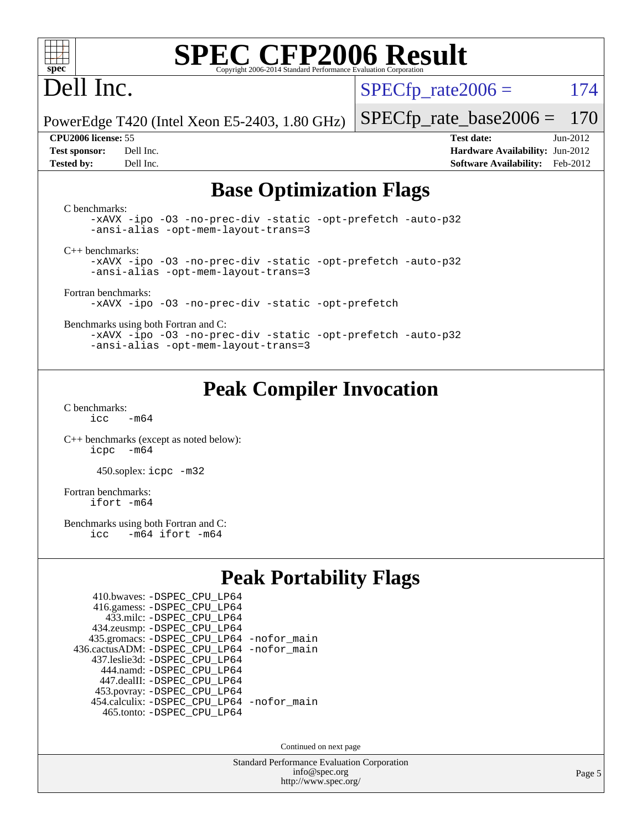

# Dell Inc.

 $SPECTp\_rate2006 = 174$ 

[SPECfp\\_rate\\_base2006 =](http://www.spec.org/auto/cpu2006/Docs/result-fields.html#SPECfpratebase2006) 170

PowerEdge T420 (Intel Xeon E5-2403, 1.80 GHz)

**[Tested by:](http://www.spec.org/auto/cpu2006/Docs/result-fields.html#Testedby)** Dell Inc. **[Software Availability:](http://www.spec.org/auto/cpu2006/Docs/result-fields.html#SoftwareAvailability)** Feb-2012

**[CPU2006 license:](http://www.spec.org/auto/cpu2006/Docs/result-fields.html#CPU2006license)** 55 **[Test date:](http://www.spec.org/auto/cpu2006/Docs/result-fields.html#Testdate)** Jun-2012 **[Test sponsor:](http://www.spec.org/auto/cpu2006/Docs/result-fields.html#Testsponsor)** Dell Inc. **[Hardware Availability:](http://www.spec.org/auto/cpu2006/Docs/result-fields.html#HardwareAvailability)** Jun-2012

### **[Base Optimization Flags](http://www.spec.org/auto/cpu2006/Docs/result-fields.html#BaseOptimizationFlags)**

[C benchmarks](http://www.spec.org/auto/cpu2006/Docs/result-fields.html#Cbenchmarks): [-xAVX](http://www.spec.org/cpu2006/results/res2012q3/cpu2006-20120703-23403.flags.html#user_CCbase_f-xAVX) [-ipo](http://www.spec.org/cpu2006/results/res2012q3/cpu2006-20120703-23403.flags.html#user_CCbase_f-ipo) [-O3](http://www.spec.org/cpu2006/results/res2012q3/cpu2006-20120703-23403.flags.html#user_CCbase_f-O3) [-no-prec-div](http://www.spec.org/cpu2006/results/res2012q3/cpu2006-20120703-23403.flags.html#user_CCbase_f-no-prec-div) [-static](http://www.spec.org/cpu2006/results/res2012q3/cpu2006-20120703-23403.flags.html#user_CCbase_f-static) [-opt-prefetch](http://www.spec.org/cpu2006/results/res2012q3/cpu2006-20120703-23403.flags.html#user_CCbase_f-opt-prefetch) [-auto-p32](http://www.spec.org/cpu2006/results/res2012q3/cpu2006-20120703-23403.flags.html#user_CCbase_f-auto-p32) [-ansi-alias](http://www.spec.org/cpu2006/results/res2012q3/cpu2006-20120703-23403.flags.html#user_CCbase_f-ansi-alias) [-opt-mem-layout-trans=3](http://www.spec.org/cpu2006/results/res2012q3/cpu2006-20120703-23403.flags.html#user_CCbase_f-opt-mem-layout-trans_a7b82ad4bd7abf52556d4961a2ae94d5) [C++ benchmarks:](http://www.spec.org/auto/cpu2006/Docs/result-fields.html#CXXbenchmarks) [-xAVX](http://www.spec.org/cpu2006/results/res2012q3/cpu2006-20120703-23403.flags.html#user_CXXbase_f-xAVX) [-ipo](http://www.spec.org/cpu2006/results/res2012q3/cpu2006-20120703-23403.flags.html#user_CXXbase_f-ipo) [-O3](http://www.spec.org/cpu2006/results/res2012q3/cpu2006-20120703-23403.flags.html#user_CXXbase_f-O3) [-no-prec-div](http://www.spec.org/cpu2006/results/res2012q3/cpu2006-20120703-23403.flags.html#user_CXXbase_f-no-prec-div) [-static](http://www.spec.org/cpu2006/results/res2012q3/cpu2006-20120703-23403.flags.html#user_CXXbase_f-static) [-opt-prefetch](http://www.spec.org/cpu2006/results/res2012q3/cpu2006-20120703-23403.flags.html#user_CXXbase_f-opt-prefetch) [-auto-p32](http://www.spec.org/cpu2006/results/res2012q3/cpu2006-20120703-23403.flags.html#user_CXXbase_f-auto-p32) [-ansi-alias](http://www.spec.org/cpu2006/results/res2012q3/cpu2006-20120703-23403.flags.html#user_CXXbase_f-ansi-alias) [-opt-mem-layout-trans=3](http://www.spec.org/cpu2006/results/res2012q3/cpu2006-20120703-23403.flags.html#user_CXXbase_f-opt-mem-layout-trans_a7b82ad4bd7abf52556d4961a2ae94d5) [Fortran benchmarks](http://www.spec.org/auto/cpu2006/Docs/result-fields.html#Fortranbenchmarks): [-xAVX](http://www.spec.org/cpu2006/results/res2012q3/cpu2006-20120703-23403.flags.html#user_FCbase_f-xAVX) [-ipo](http://www.spec.org/cpu2006/results/res2012q3/cpu2006-20120703-23403.flags.html#user_FCbase_f-ipo) [-O3](http://www.spec.org/cpu2006/results/res2012q3/cpu2006-20120703-23403.flags.html#user_FCbase_f-O3) [-no-prec-div](http://www.spec.org/cpu2006/results/res2012q3/cpu2006-20120703-23403.flags.html#user_FCbase_f-no-prec-div) [-static](http://www.spec.org/cpu2006/results/res2012q3/cpu2006-20120703-23403.flags.html#user_FCbase_f-static) [-opt-prefetch](http://www.spec.org/cpu2006/results/res2012q3/cpu2006-20120703-23403.flags.html#user_FCbase_f-opt-prefetch) [Benchmarks using both Fortran and C](http://www.spec.org/auto/cpu2006/Docs/result-fields.html#BenchmarksusingbothFortranandC): [-xAVX](http://www.spec.org/cpu2006/results/res2012q3/cpu2006-20120703-23403.flags.html#user_CC_FCbase_f-xAVX) [-ipo](http://www.spec.org/cpu2006/results/res2012q3/cpu2006-20120703-23403.flags.html#user_CC_FCbase_f-ipo) [-O3](http://www.spec.org/cpu2006/results/res2012q3/cpu2006-20120703-23403.flags.html#user_CC_FCbase_f-O3) [-no-prec-div](http://www.spec.org/cpu2006/results/res2012q3/cpu2006-20120703-23403.flags.html#user_CC_FCbase_f-no-prec-div) [-static](http://www.spec.org/cpu2006/results/res2012q3/cpu2006-20120703-23403.flags.html#user_CC_FCbase_f-static) [-opt-prefetch](http://www.spec.org/cpu2006/results/res2012q3/cpu2006-20120703-23403.flags.html#user_CC_FCbase_f-opt-prefetch) [-auto-p32](http://www.spec.org/cpu2006/results/res2012q3/cpu2006-20120703-23403.flags.html#user_CC_FCbase_f-auto-p32) [-ansi-alias](http://www.spec.org/cpu2006/results/res2012q3/cpu2006-20120703-23403.flags.html#user_CC_FCbase_f-ansi-alias) [-opt-mem-layout-trans=3](http://www.spec.org/cpu2006/results/res2012q3/cpu2006-20120703-23403.flags.html#user_CC_FCbase_f-opt-mem-layout-trans_a7b82ad4bd7abf52556d4961a2ae94d5)

## **[Peak Compiler Invocation](http://www.spec.org/auto/cpu2006/Docs/result-fields.html#PeakCompilerInvocation)**

[C benchmarks](http://www.spec.org/auto/cpu2006/Docs/result-fields.html#Cbenchmarks):  $icc$   $-m64$ 

[C++ benchmarks \(except as noted below\):](http://www.spec.org/auto/cpu2006/Docs/result-fields.html#CXXbenchmarksexceptasnotedbelow) [icpc -m64](http://www.spec.org/cpu2006/results/res2012q3/cpu2006-20120703-23403.flags.html#user_CXXpeak_intel_icpc_64bit_bedb90c1146cab66620883ef4f41a67e)

450.soplex: [icpc -m32](http://www.spec.org/cpu2006/results/res2012q3/cpu2006-20120703-23403.flags.html#user_peakCXXLD450_soplex_intel_icpc_4e5a5ef1a53fd332b3c49e69c3330699)

[Fortran benchmarks](http://www.spec.org/auto/cpu2006/Docs/result-fields.html#Fortranbenchmarks): [ifort -m64](http://www.spec.org/cpu2006/results/res2012q3/cpu2006-20120703-23403.flags.html#user_FCpeak_intel_ifort_64bit_ee9d0fb25645d0210d97eb0527dcc06e)

[Benchmarks using both Fortran and C](http://www.spec.org/auto/cpu2006/Docs/result-fields.html#BenchmarksusingbothFortranandC):<br>icc -m64 ifort -m64  $-m64$  ifort  $-m64$ 

## **[Peak Portability Flags](http://www.spec.org/auto/cpu2006/Docs/result-fields.html#PeakPortabilityFlags)**

| 410.bwaves: - DSPEC CPU LP64                |  |
|---------------------------------------------|--|
| 416.gamess: -DSPEC_CPU_LP64                 |  |
| 433.milc: -DSPEC CPU LP64                   |  |
| 434.zeusmp: - DSPEC_CPU_LP64                |  |
| 435.gromacs: -DSPEC_CPU_LP64 -nofor_main    |  |
| 436.cactusADM: -DSPEC CPU LP64 -nofor main  |  |
| 437.leslie3d: -DSPEC CPU LP64               |  |
| 444.namd: - DSPEC CPU LP64                  |  |
| 447.dealII: -DSPEC CPU LP64                 |  |
| 453.povray: -DSPEC_CPU_LP64                 |  |
| 454.calculix: - DSPEC CPU LP64 - nofor main |  |
| 465.tonto: - DSPEC CPU LP64                 |  |

Continued on next page

Standard Performance Evaluation Corporation [info@spec.org](mailto:info@spec.org) <http://www.spec.org/>

Page 5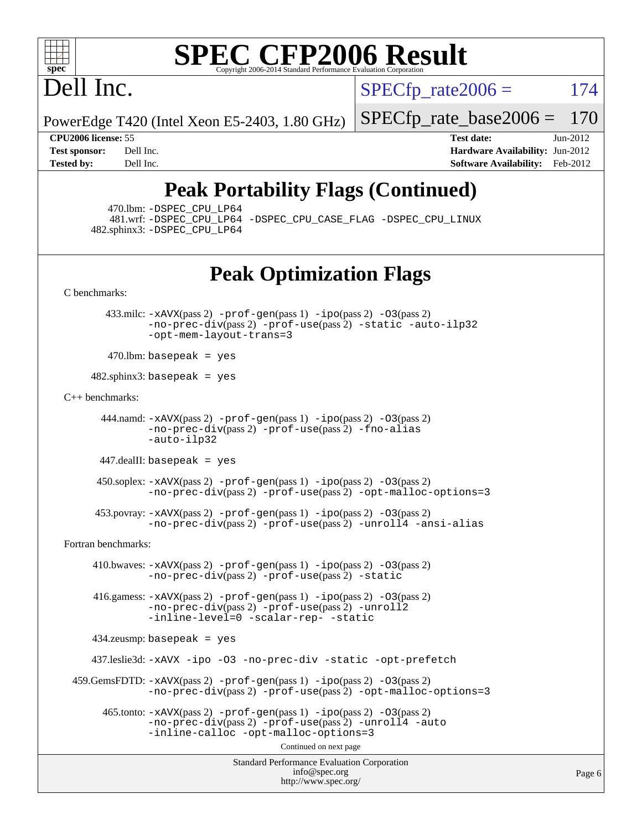

# Dell Inc.

 $SPECTp\_rate2006 = 174$ 

PowerEdge T420 (Intel Xeon E5-2403, 1.80 GHz)

[SPECfp\\_rate\\_base2006 =](http://www.spec.org/auto/cpu2006/Docs/result-fields.html#SPECfpratebase2006) 170

**[CPU2006 license:](http://www.spec.org/auto/cpu2006/Docs/result-fields.html#CPU2006license)** 55 **[Test date:](http://www.spec.org/auto/cpu2006/Docs/result-fields.html#Testdate)** Jun-2012 **[Test sponsor:](http://www.spec.org/auto/cpu2006/Docs/result-fields.html#Testsponsor)** Dell Inc. **[Hardware Availability:](http://www.spec.org/auto/cpu2006/Docs/result-fields.html#HardwareAvailability)** Jun-2012 **[Tested by:](http://www.spec.org/auto/cpu2006/Docs/result-fields.html#Testedby)** Dell Inc. **[Software Availability:](http://www.spec.org/auto/cpu2006/Docs/result-fields.html#SoftwareAvailability)** Feb-2012

## **[Peak Portability Flags \(Continued\)](http://www.spec.org/auto/cpu2006/Docs/result-fields.html#PeakPortabilityFlags)**

470.lbm: [-DSPEC\\_CPU\\_LP64](http://www.spec.org/cpu2006/results/res2012q3/cpu2006-20120703-23403.flags.html#suite_peakPORTABILITY470_lbm_DSPEC_CPU_LP64)

 481.wrf: [-DSPEC\\_CPU\\_LP64](http://www.spec.org/cpu2006/results/res2012q3/cpu2006-20120703-23403.flags.html#suite_peakPORTABILITY481_wrf_DSPEC_CPU_LP64) [-DSPEC\\_CPU\\_CASE\\_FLAG](http://www.spec.org/cpu2006/results/res2012q3/cpu2006-20120703-23403.flags.html#b481.wrf_peakCPORTABILITY_DSPEC_CPU_CASE_FLAG) [-DSPEC\\_CPU\\_LINUX](http://www.spec.org/cpu2006/results/res2012q3/cpu2006-20120703-23403.flags.html#b481.wrf_peakCPORTABILITY_DSPEC_CPU_LINUX) 482.sphinx3: [-DSPEC\\_CPU\\_LP64](http://www.spec.org/cpu2006/results/res2012q3/cpu2006-20120703-23403.flags.html#suite_peakPORTABILITY482_sphinx3_DSPEC_CPU_LP64)

## **[Peak Optimization Flags](http://www.spec.org/auto/cpu2006/Docs/result-fields.html#PeakOptimizationFlags)**

[C benchmarks](http://www.spec.org/auto/cpu2006/Docs/result-fields.html#Cbenchmarks):

 433.milc: [-xAVX](http://www.spec.org/cpu2006/results/res2012q3/cpu2006-20120703-23403.flags.html#user_peakPASS2_CFLAGSPASS2_LDFLAGS433_milc_f-xAVX)(pass 2) [-prof-gen](http://www.spec.org/cpu2006/results/res2012q3/cpu2006-20120703-23403.flags.html#user_peakPASS1_CFLAGSPASS1_LDFLAGS433_milc_prof_gen_e43856698f6ca7b7e442dfd80e94a8fc)(pass 1) [-ipo](http://www.spec.org/cpu2006/results/res2012q3/cpu2006-20120703-23403.flags.html#user_peakPASS2_CFLAGSPASS2_LDFLAGS433_milc_f-ipo)(pass 2) [-O3](http://www.spec.org/cpu2006/results/res2012q3/cpu2006-20120703-23403.flags.html#user_peakPASS2_CFLAGSPASS2_LDFLAGS433_milc_f-O3)(pass 2) [-no-prec-div](http://www.spec.org/cpu2006/results/res2012q3/cpu2006-20120703-23403.flags.html#user_peakPASS2_CFLAGSPASS2_LDFLAGS433_milc_f-no-prec-div)(pass 2) [-prof-use](http://www.spec.org/cpu2006/results/res2012q3/cpu2006-20120703-23403.flags.html#user_peakPASS2_CFLAGSPASS2_LDFLAGS433_milc_prof_use_bccf7792157ff70d64e32fe3e1250b55)(pass 2) [-static](http://www.spec.org/cpu2006/results/res2012q3/cpu2006-20120703-23403.flags.html#user_peakOPTIMIZE433_milc_f-static) [-auto-ilp32](http://www.spec.org/cpu2006/results/res2012q3/cpu2006-20120703-23403.flags.html#user_peakCOPTIMIZE433_milc_f-auto-ilp32) [-opt-mem-layout-trans=3](http://www.spec.org/cpu2006/results/res2012q3/cpu2006-20120703-23403.flags.html#user_peakCOPTIMIZE433_milc_f-opt-mem-layout-trans_a7b82ad4bd7abf52556d4961a2ae94d5)

 $470$ .lbm: basepeak = yes

 $482$ .sphinx $3$ : basepeak = yes

[C++ benchmarks:](http://www.spec.org/auto/cpu2006/Docs/result-fields.html#CXXbenchmarks)

 444.namd: [-xAVX](http://www.spec.org/cpu2006/results/res2012q3/cpu2006-20120703-23403.flags.html#user_peakPASS2_CXXFLAGSPASS2_LDFLAGS444_namd_f-xAVX)(pass 2) [-prof-gen](http://www.spec.org/cpu2006/results/res2012q3/cpu2006-20120703-23403.flags.html#user_peakPASS1_CXXFLAGSPASS1_LDFLAGS444_namd_prof_gen_e43856698f6ca7b7e442dfd80e94a8fc)(pass 1) [-ipo](http://www.spec.org/cpu2006/results/res2012q3/cpu2006-20120703-23403.flags.html#user_peakPASS2_CXXFLAGSPASS2_LDFLAGS444_namd_f-ipo)(pass 2) [-O3](http://www.spec.org/cpu2006/results/res2012q3/cpu2006-20120703-23403.flags.html#user_peakPASS2_CXXFLAGSPASS2_LDFLAGS444_namd_f-O3)(pass 2) [-no-prec-div](http://www.spec.org/cpu2006/results/res2012q3/cpu2006-20120703-23403.flags.html#user_peakPASS2_CXXFLAGSPASS2_LDFLAGS444_namd_f-no-prec-div)(pass 2) [-prof-use](http://www.spec.org/cpu2006/results/res2012q3/cpu2006-20120703-23403.flags.html#user_peakPASS2_CXXFLAGSPASS2_LDFLAGS444_namd_prof_use_bccf7792157ff70d64e32fe3e1250b55)(pass 2) [-fno-alias](http://www.spec.org/cpu2006/results/res2012q3/cpu2006-20120703-23403.flags.html#user_peakCXXOPTIMIZE444_namd_f-no-alias_694e77f6c5a51e658e82ccff53a9e63a) [-auto-ilp32](http://www.spec.org/cpu2006/results/res2012q3/cpu2006-20120703-23403.flags.html#user_peakCXXOPTIMIZE444_namd_f-auto-ilp32)

447.dealII: basepeak = yes

 450.soplex: [-xAVX](http://www.spec.org/cpu2006/results/res2012q3/cpu2006-20120703-23403.flags.html#user_peakPASS2_CXXFLAGSPASS2_LDFLAGS450_soplex_f-xAVX)(pass 2) [-prof-gen](http://www.spec.org/cpu2006/results/res2012q3/cpu2006-20120703-23403.flags.html#user_peakPASS1_CXXFLAGSPASS1_LDFLAGS450_soplex_prof_gen_e43856698f6ca7b7e442dfd80e94a8fc)(pass 1) [-ipo](http://www.spec.org/cpu2006/results/res2012q3/cpu2006-20120703-23403.flags.html#user_peakPASS2_CXXFLAGSPASS2_LDFLAGS450_soplex_f-ipo)(pass 2) [-O3](http://www.spec.org/cpu2006/results/res2012q3/cpu2006-20120703-23403.flags.html#user_peakPASS2_CXXFLAGSPASS2_LDFLAGS450_soplex_f-O3)(pass 2) [-no-prec-div](http://www.spec.org/cpu2006/results/res2012q3/cpu2006-20120703-23403.flags.html#user_peakPASS2_CXXFLAGSPASS2_LDFLAGS450_soplex_f-no-prec-div)(pass 2) [-prof-use](http://www.spec.org/cpu2006/results/res2012q3/cpu2006-20120703-23403.flags.html#user_peakPASS2_CXXFLAGSPASS2_LDFLAGS450_soplex_prof_use_bccf7792157ff70d64e32fe3e1250b55)(pass 2) [-opt-malloc-options=3](http://www.spec.org/cpu2006/results/res2012q3/cpu2006-20120703-23403.flags.html#user_peakOPTIMIZE450_soplex_f-opt-malloc-options_13ab9b803cf986b4ee62f0a5998c2238)

 453.povray: [-xAVX](http://www.spec.org/cpu2006/results/res2012q3/cpu2006-20120703-23403.flags.html#user_peakPASS2_CXXFLAGSPASS2_LDFLAGS453_povray_f-xAVX)(pass 2) [-prof-gen](http://www.spec.org/cpu2006/results/res2012q3/cpu2006-20120703-23403.flags.html#user_peakPASS1_CXXFLAGSPASS1_LDFLAGS453_povray_prof_gen_e43856698f6ca7b7e442dfd80e94a8fc)(pass 1) [-ipo](http://www.spec.org/cpu2006/results/res2012q3/cpu2006-20120703-23403.flags.html#user_peakPASS2_CXXFLAGSPASS2_LDFLAGS453_povray_f-ipo)(pass 2) [-O3](http://www.spec.org/cpu2006/results/res2012q3/cpu2006-20120703-23403.flags.html#user_peakPASS2_CXXFLAGSPASS2_LDFLAGS453_povray_f-O3)(pass 2) [-no-prec-div](http://www.spec.org/cpu2006/results/res2012q3/cpu2006-20120703-23403.flags.html#user_peakPASS2_CXXFLAGSPASS2_LDFLAGS453_povray_f-no-prec-div)(pass 2) [-prof-use](http://www.spec.org/cpu2006/results/res2012q3/cpu2006-20120703-23403.flags.html#user_peakPASS2_CXXFLAGSPASS2_LDFLAGS453_povray_prof_use_bccf7792157ff70d64e32fe3e1250b55)(pass 2) [-unroll4](http://www.spec.org/cpu2006/results/res2012q3/cpu2006-20120703-23403.flags.html#user_peakCXXOPTIMIZE453_povray_f-unroll_4e5e4ed65b7fd20bdcd365bec371b81f) [-ansi-alias](http://www.spec.org/cpu2006/results/res2012q3/cpu2006-20120703-23403.flags.html#user_peakCXXOPTIMIZE453_povray_f-ansi-alias)

[Fortran benchmarks](http://www.spec.org/auto/cpu2006/Docs/result-fields.html#Fortranbenchmarks):

 410.bwaves: [-xAVX](http://www.spec.org/cpu2006/results/res2012q3/cpu2006-20120703-23403.flags.html#user_peakPASS2_FFLAGSPASS2_LDFLAGS410_bwaves_f-xAVX)(pass 2) [-prof-gen](http://www.spec.org/cpu2006/results/res2012q3/cpu2006-20120703-23403.flags.html#user_peakPASS1_FFLAGSPASS1_LDFLAGS410_bwaves_prof_gen_e43856698f6ca7b7e442dfd80e94a8fc)(pass 1) [-ipo](http://www.spec.org/cpu2006/results/res2012q3/cpu2006-20120703-23403.flags.html#user_peakPASS2_FFLAGSPASS2_LDFLAGS410_bwaves_f-ipo)(pass 2) [-O3](http://www.spec.org/cpu2006/results/res2012q3/cpu2006-20120703-23403.flags.html#user_peakPASS2_FFLAGSPASS2_LDFLAGS410_bwaves_f-O3)(pass 2) [-no-prec-div](http://www.spec.org/cpu2006/results/res2012q3/cpu2006-20120703-23403.flags.html#user_peakPASS2_FFLAGSPASS2_LDFLAGS410_bwaves_f-no-prec-div)(pass 2) [-prof-use](http://www.spec.org/cpu2006/results/res2012q3/cpu2006-20120703-23403.flags.html#user_peakPASS2_FFLAGSPASS2_LDFLAGS410_bwaves_prof_use_bccf7792157ff70d64e32fe3e1250b55)(pass 2) [-static](http://www.spec.org/cpu2006/results/res2012q3/cpu2006-20120703-23403.flags.html#user_peakOPTIMIZE410_bwaves_f-static)

 416.gamess: [-xAVX](http://www.spec.org/cpu2006/results/res2012q3/cpu2006-20120703-23403.flags.html#user_peakPASS2_FFLAGSPASS2_LDFLAGS416_gamess_f-xAVX)(pass 2) [-prof-gen](http://www.spec.org/cpu2006/results/res2012q3/cpu2006-20120703-23403.flags.html#user_peakPASS1_FFLAGSPASS1_LDFLAGS416_gamess_prof_gen_e43856698f6ca7b7e442dfd80e94a8fc)(pass 1) [-ipo](http://www.spec.org/cpu2006/results/res2012q3/cpu2006-20120703-23403.flags.html#user_peakPASS2_FFLAGSPASS2_LDFLAGS416_gamess_f-ipo)(pass 2) [-O3](http://www.spec.org/cpu2006/results/res2012q3/cpu2006-20120703-23403.flags.html#user_peakPASS2_FFLAGSPASS2_LDFLAGS416_gamess_f-O3)(pass 2) [-no-prec-div](http://www.spec.org/cpu2006/results/res2012q3/cpu2006-20120703-23403.flags.html#user_peakPASS2_FFLAGSPASS2_LDFLAGS416_gamess_f-no-prec-div)(pass 2) [-prof-use](http://www.spec.org/cpu2006/results/res2012q3/cpu2006-20120703-23403.flags.html#user_peakPASS2_FFLAGSPASS2_LDFLAGS416_gamess_prof_use_bccf7792157ff70d64e32fe3e1250b55)(pass 2) [-unroll2](http://www.spec.org/cpu2006/results/res2012q3/cpu2006-20120703-23403.flags.html#user_peakOPTIMIZE416_gamess_f-unroll_784dae83bebfb236979b41d2422d7ec2) [-inline-level=0](http://www.spec.org/cpu2006/results/res2012q3/cpu2006-20120703-23403.flags.html#user_peakOPTIMIZE416_gamess_f-inline-level_318d07a09274ad25e8d15dbfaa68ba50) [-scalar-rep-](http://www.spec.org/cpu2006/results/res2012q3/cpu2006-20120703-23403.flags.html#user_peakOPTIMIZE416_gamess_f-disablescalarrep_abbcad04450fb118e4809c81d83c8a1d) [-static](http://www.spec.org/cpu2006/results/res2012q3/cpu2006-20120703-23403.flags.html#user_peakOPTIMIZE416_gamess_f-static)

434.zeusmp: basepeak = yes

437.leslie3d: [-xAVX](http://www.spec.org/cpu2006/results/res2012q3/cpu2006-20120703-23403.flags.html#user_peakOPTIMIZE437_leslie3d_f-xAVX) [-ipo](http://www.spec.org/cpu2006/results/res2012q3/cpu2006-20120703-23403.flags.html#user_peakOPTIMIZE437_leslie3d_f-ipo) [-O3](http://www.spec.org/cpu2006/results/res2012q3/cpu2006-20120703-23403.flags.html#user_peakOPTIMIZE437_leslie3d_f-O3) [-no-prec-div](http://www.spec.org/cpu2006/results/res2012q3/cpu2006-20120703-23403.flags.html#user_peakOPTIMIZE437_leslie3d_f-no-prec-div) [-static](http://www.spec.org/cpu2006/results/res2012q3/cpu2006-20120703-23403.flags.html#user_peakOPTIMIZE437_leslie3d_f-static) [-opt-prefetch](http://www.spec.org/cpu2006/results/res2012q3/cpu2006-20120703-23403.flags.html#user_peakOPTIMIZE437_leslie3d_f-opt-prefetch)

 459.GemsFDTD: [-xAVX](http://www.spec.org/cpu2006/results/res2012q3/cpu2006-20120703-23403.flags.html#user_peakPASS2_FFLAGSPASS2_LDFLAGS459_GemsFDTD_f-xAVX)(pass 2) [-prof-gen](http://www.spec.org/cpu2006/results/res2012q3/cpu2006-20120703-23403.flags.html#user_peakPASS1_FFLAGSPASS1_LDFLAGS459_GemsFDTD_prof_gen_e43856698f6ca7b7e442dfd80e94a8fc)(pass 1) [-ipo](http://www.spec.org/cpu2006/results/res2012q3/cpu2006-20120703-23403.flags.html#user_peakPASS2_FFLAGSPASS2_LDFLAGS459_GemsFDTD_f-ipo)(pass 2) [-O3](http://www.spec.org/cpu2006/results/res2012q3/cpu2006-20120703-23403.flags.html#user_peakPASS2_FFLAGSPASS2_LDFLAGS459_GemsFDTD_f-O3)(pass 2) [-no-prec-div](http://www.spec.org/cpu2006/results/res2012q3/cpu2006-20120703-23403.flags.html#user_peakPASS2_FFLAGSPASS2_LDFLAGS459_GemsFDTD_f-no-prec-div)(pass 2) [-prof-use](http://www.spec.org/cpu2006/results/res2012q3/cpu2006-20120703-23403.flags.html#user_peakPASS2_FFLAGSPASS2_LDFLAGS459_GemsFDTD_prof_use_bccf7792157ff70d64e32fe3e1250b55)(pass 2) [-opt-malloc-options=3](http://www.spec.org/cpu2006/results/res2012q3/cpu2006-20120703-23403.flags.html#user_peakOPTIMIZE459_GemsFDTD_f-opt-malloc-options_13ab9b803cf986b4ee62f0a5998c2238)

 $465$ .tonto:  $-x$ AVX(pass 2)  $-p$ rof-gen(pass 1)  $-p$ o(pass 2)  $-03$ (pass 2) [-no-prec-div](http://www.spec.org/cpu2006/results/res2012q3/cpu2006-20120703-23403.flags.html#user_peakPASS2_FFLAGSPASS2_LDFLAGS465_tonto_f-no-prec-div)(pass 2) [-prof-use](http://www.spec.org/cpu2006/results/res2012q3/cpu2006-20120703-23403.flags.html#user_peakPASS2_FFLAGSPASS2_LDFLAGS465_tonto_prof_use_bccf7792157ff70d64e32fe3e1250b55)(pass 2) [-unroll4](http://www.spec.org/cpu2006/results/res2012q3/cpu2006-20120703-23403.flags.html#user_peakOPTIMIZE465_tonto_f-unroll_4e5e4ed65b7fd20bdcd365bec371b81f) [-auto](http://www.spec.org/cpu2006/results/res2012q3/cpu2006-20120703-23403.flags.html#user_peakOPTIMIZE465_tonto_f-auto) [-inline-calloc](http://www.spec.org/cpu2006/results/res2012q3/cpu2006-20120703-23403.flags.html#user_peakOPTIMIZE465_tonto_f-inline-calloc) [-opt-malloc-options=3](http://www.spec.org/cpu2006/results/res2012q3/cpu2006-20120703-23403.flags.html#user_peakOPTIMIZE465_tonto_f-opt-malloc-options_13ab9b803cf986b4ee62f0a5998c2238)

Continued on next page

Standard Performance Evaluation Corporation [info@spec.org](mailto:info@spec.org) <http://www.spec.org/>